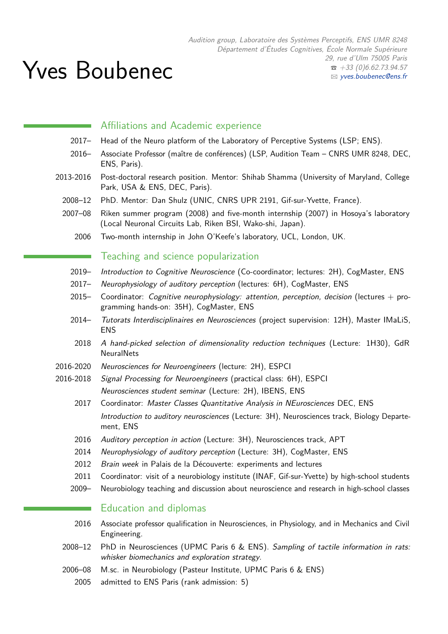Audition group, Laboratoire des Systèmes Perceptifs, ENS UMR 8248 Département d'Études Cognitives, École Normale Supérieure 29, rue d'Ulm 75005 Paris  $\bullet$  +33 (0)6.62.73.94.57 B [yves.boubenec@ens.fr](mailto:yves.boubenec@ens.fr)

# Yves Boubenec

## Affiliations and Academic experience

- 2017– Head of the Neuro platform of the Laboratory of Perceptive Systems (LSP; ENS).
- 2016– Associate Professor (maître de conférences) (LSP, Audition Team CNRS UMR 8248, DEC, ENS, Paris).
- 2013-2016 Post-doctoral research position. Mentor: Shihab Shamma (University of Maryland, College Park, USA & ENS, DEC, Paris).
	- 2008–12 PhD. Mentor: Dan Shulz (UNIC, CNRS UPR 2191, Gif-sur-Yvette, France).
	- 2007–08 Riken summer program (2008) and five-month internship (2007) in Hosoya's laboratory (Local Neuronal Circuits Lab, Riken BSI, Wako-shi, Japan).
		- 2006 Two-month internship in John O'Keefe's laboratory, UCL, London, UK.

#### Teaching and science popularization

- 2019– Introduction to Cognitive Neuroscience (Co-coordinator; lectures: 2H), CogMaster, ENS
- 2017- Neurophysiology of auditory perception (lectures: 6H), CogMaster, ENS
- 2015– Coordinator: Cognitive neurophysiology: attention, perception, decision (lectures  $+$  programming hands-on: 35H), CogMaster, ENS
- 2014– Tutorats Interdisciplinaires en Neurosciences (project supervision: 12H), Master IMaLiS, ENS
- 2018 A hand-picked selection of dimensionality reduction techniques (Lecture: 1H30), GdR **NeuralNets**
- 2016-2020 Neurosciences for Neuroengineers (lecture: 2H), ESPCI
- 2016-2018 Signal Processing for Neuroengineers (practical class: 6H), ESPCI Neurosciences student seminar (Lecture: 2H), IBENS, ENS
	- 2017 Coordinator: Master Classes Quantitative Analysis in NEurosciences DEC, ENS Introduction to auditory neurosciences (Lecture: 3H), Neurosciences track, Biology Departement, ENS
	- 2016 Auditory perception in action (Lecture: 3H), Neurosciences track, APT
	- 2014 Neurophysiology of auditory perception (Lecture: 3H), CogMaster, ENS
	- 2012 Brain week in Palais de la Découverte: experiments and lectures
	- 2011 Coordinator: visit of a neurobiology institute (INAF, Gif-sur-Yvette) by high-school students
	- 2009– Neurobiology teaching and discussion about neuroscience and research in high-school classes

### Education and diplomas

- 2016 Associate professor qualification in Neurosciences, in Physiology, and in Mechanics and Civil Engineering.
- 2008–12 PhD in Neurosciences (UPMC Paris 6 & ENS). Sampling of tactile information in rats: whisker biomechanics and exploration strategy.
- 2006–08 M.sc. in Neurobiology (Pasteur Institute, UPMC Paris 6 & ENS)
	- 2005 admitted to ENS Paris (rank admission: 5)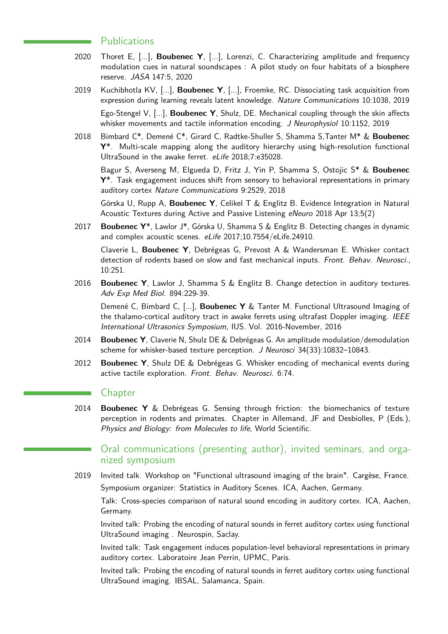#### **Publications**

- 2020 Thoret E, [...], **Boubenec Y**, [...], Lorenzi, C. Characterizing amplitude and frequency modulation cues in natural soundscapes : A pilot study on four habitats of a biosphere reserve. JASA 147:5, 2020
- 2019 Kuchibhotla KV, [...], **Boubenec Y**, [...], Froemke, RC. Dissociating task acquisition from expression during learning reveals latent knowledge. Nature Communications 10:1038, 2019 Ego-Stengel V, [...], **Boubenec Y**, Shulz, DE. Mechanical coupling through the skin affects whisker movements and tactile information encoding. J Neurophysiol 10:1152, 2019
- 2018 Bimbard C\*, Demené C\*, Girard C, Radtke-Shuller S, Shamma S,Tanter M\* & **Boubenec Y**\*. Multi-scale mapping along the auditory hierarchy using high-resolution functional UltraSound in the awake ferret. eLife 2018;7:e35028.

Bagur S, Averseng M, Elgueda D, Fritz J, Yin P, Shamma S, Ostojic S\* & **Boubenec Y**\*. Task engagement induces shift from sensory to behavioral representations in primary auditory cortex Nature Communications 9:2529, 2018

Górska U, Rupp A, **Boubenec Y**, Celikel T & Englitz B. Evidence Integration in Natural Acoustic Textures during Active and Passive Listening eNeuro 2018 Apr 13;5(2)

2017 **Boubenec Y**\*, Lawlor J\*, Górska U, Shamma S & Englitz B. Detecting changes in dynamic and complex acoustic scenes. eLife 2017;10.7554/eLife.24910.

Claverie L, **Boubenec Y**, Debrégeas G, Prevost A & Wandersman E. Whisker contact detection of rodents based on slow and fast mechanical inputs. Front. Behav. Neurosci., 10:251.

2016 **Boubenec Y**, Lawlor J, Shamma S & Englitz B. Change detection in auditory textures. Adv Exp Med Biol. 894:229-39.

Demené C, Bimbard C, [...], **Boubenec Y** & Tanter M. Functional Ultrasound Imaging of the thalamo-cortical auditory tract in awake ferrets using ultrafast Doppler imaging. IEEE International Ultrasonics Symposium, IUS. Vol. 2016-November, 2016

- 2014 **Boubenec Y**, Claverie N, Shulz DE & Debrégeas G. An amplitude modulation/demodulation scheme for whisker-based texture perception. J Neurosci 34(33):10832–10843.
- 2012 **Boubenec Y**, Shulz DE & Debrégeas G. Whisker encoding of mechanical events during active tactile exploration. Front. Behav. Neurosci. 6:74.

#### **Chapter**

2014 **Boubenec Y** & Debrégeas G. Sensing through friction: the biomechanics of texture perception in rodents and primates. Chapter in Allemand, JF and Desbiolles, P (Eds.), Physics and Biology: from Molecules to life, World Scientific.

## Oral communications (presenting author), invited seminars, and organized symposium

2019 Invited talk. Workshop on "Functional ultrasound imaging of the brain". Cargèse, France. Symposium organizer: Statistics in Auditory Scenes. ICA, Aachen, Germany.

Talk: Cross-species comparison of natural sound encoding in auditory cortex. ICA, Aachen, Germany.

Invited talk: Probing the encoding of natural sounds in ferret auditory cortex using functional UltraSound imaging . Neurospin, Saclay.

Invited talk: Task engagement induces population-level behavioral representations in primary auditory cortex. Laboratoire Jean Perrin, UPMC, Paris.

Invited talk: Probing the encoding of natural sounds in ferret auditory cortex using functional UltraSound imaging. IBSAL, Salamanca, Spain.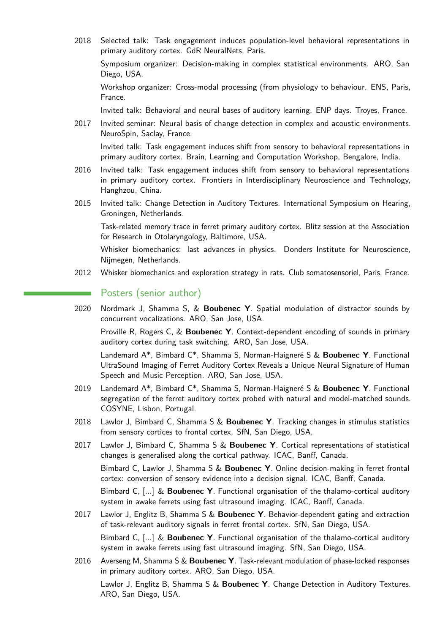2018 Selected talk: Task engagement induces population-level behavioral representations in primary auditory cortex. GdR NeuralNets, Paris.

Symposium organizer: Decision-making in complex statistical environments. ARO, San Diego, USA.

Workshop organizer: Cross-modal processing (from physiology to behaviour. ENS, Paris, France.

Invited talk: Behavioral and neural bases of auditory learning. ENP days. Troyes, France.

2017 Invited seminar: Neural basis of change detection in complex and acoustic environments. NeuroSpin, Saclay, France.

Invited talk: Task engagement induces shift from sensory to behavioral representations in primary auditory cortex. Brain, Learning and Computation Workshop, Bengalore, India.

- 2016 Invited talk: Task engagement induces shift from sensory to behavioral representations in primary auditory cortex. Frontiers in Interdisciplinary Neuroscience and Technology, Hanghzou, China.
- 2015 Invited talk: Change Detection in Auditory Textures. International Symposium on Hearing, Groningen, Netherlands.

Task-related memory trace in ferret primary auditory cortex. Blitz session at the Association for Research in Otolaryngology, Baltimore, USA.

Whisker biomechanics: last advances in physics. Donders Institute for Neuroscience, Nijmegen, Netherlands.

2012 Whisker biomechanics and exploration strategy in rats. Club somatosensoriel, Paris, France.

## Posters (senior author)

2020 Nordmark J, Shamma S, & **Boubenec Y**. Spatial modulation of distractor sounds by concurrent vocalizations. ARO, San Jose, USA.

Proville R, Rogers C, & **Boubenec Y**. Context-dependent encoding of sounds in primary auditory cortex during task switching. ARO, San Jose, USA.

Landemard A\*, Bimbard C\*, Shamma S, Norman-Haigneré S & **Boubenec Y**. Functional UltraSound Imaging of Ferret Auditory Cortex Reveals a Unique Neural Signature of Human Speech and Music Perception. ARO, San Jose, USA.

- 2019 Landemard A\*, Bimbard C\*, Shamma S, Norman-Haigneré S & **Boubenec Y**. Functional segregation of the ferret auditory cortex probed with natural and model-matched sounds. COSYNE, Lisbon, Portugal.
- 2018 Lawlor J, Bimbard C, Shamma S & **Boubenec Y**. Tracking changes in stimulus statistics from sensory cortices to frontal cortex. SfN, San Diego, USA.
- 2017 Lawlor J, Bimbard C, Shamma S & **Boubenec Y**. Cortical representations of statistical changes is generalised along the cortical pathway. ICAC, Banff, Canada. Bimbard C, Lawlor J, Shamma S & **Boubenec Y**. Online decision-making in ferret frontal cortex: conversion of sensory evidence into a decision signal. ICAC, Banff, Canada. Bimbard C, [...] & **Boubenec Y**. Functional organisation of the thalamo-cortical auditory system in awake ferrets using fast ultrasound imaging. ICAC, Banff, Canada.
- 2017 Lawlor J, Englitz B, Shamma S & **Boubenec Y**. Behavior-dependent gating and extraction of task-relevant auditory signals in ferret frontal cortex. SfN, San Diego, USA. Bimbard C, [...] & **Boubenec Y**. Functional organisation of the thalamo-cortical auditory system in awake ferrets using fast ultrasound imaging. SfN, San Diego, USA.
- 2016 Averseng M, Shamma S & **Boubenec Y**. Task-relevant modulation of phase-locked responses in primary auditory cortex. ARO, San Diego, USA.

Lawlor J, Englitz B, Shamma S & **Boubenec Y**. Change Detection in Auditory Textures. ARO, San Diego, USA.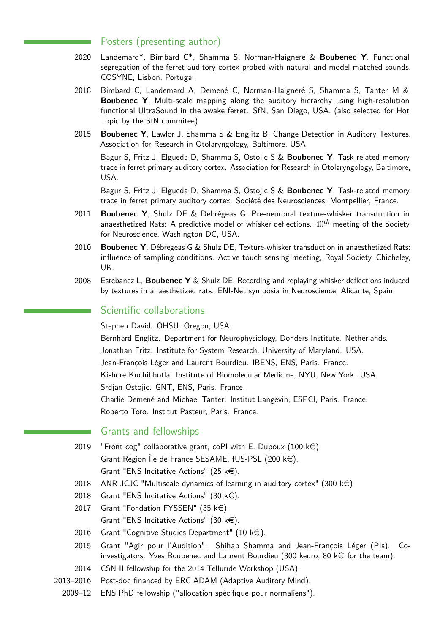## Posters (presenting author)

- 2020 Landemard\*, Bimbard C\*, Shamma S, Norman-Haigneré & **Boubenec Y**. Functional segregation of the ferret auditory cortex probed with natural and model-matched sounds. COSYNE, Lisbon, Portugal.
- 2018 Bimbard C, Landemard A, Demené C, Norman-Haigneré S, Shamma S, Tanter M & **Boubenec Y**. Multi-scale mapping along the auditory hierarchy using high-resolution functional UltraSound in the awake ferret. SfN, San Diego, USA. (also selected for Hot Topic by the SfN commitee)
- 2015 **Boubenec Y**, Lawlor J, Shamma S & Englitz B. Change Detection in Auditory Textures. Association for Research in Otolaryngology, Baltimore, USA.

Bagur S, Fritz J, Elgueda D, Shamma S, Ostojic S & **Boubenec Y**. Task-related memory trace in ferret primary auditory cortex. Association for Research in Otolaryngology, Baltimore, USA.

Bagur S, Fritz J, Elgueda D, Shamma S, Ostojic S & **Boubenec Y**. Task-related memory trace in ferret primary auditory cortex. Société des Neurosciences, Montpellier, France.

- 2011 **Boubenec Y**, Shulz DE & Debrégeas G. Pre-neuronal texture-whisker transduction in anaesthetized Rats: A predictive model of whisker deflections. 40*th* meeting of the Society for Neuroscience, Washington DC, USA.
- 2010 **Boubenec Y**, Débregeas G & Shulz DE, Texture-whisker transduction in anaesthetized Rats: influence of sampling conditions. Active touch sensing meeting, Royal Society, Chicheley, UK.
- 2008 Estebanez L, **Boubenec Y** & Shulz DE, Recording and replaying whisker deflections induced by textures in anaesthetized rats. ENI-Net symposia in Neuroscience, Alicante, Spain.

## Scientific collaborations

Stephen David. OHSU. Oregon, USA.

Bernhard Englitz. Department for Neurophysiology, Donders Institute. Netherlands. Jonathan Fritz. Institute for System Research, University of Maryland. USA. Jean-François Léger and Laurent Bourdieu. IBENS, ENS, Paris. France. Kishore Kuchibhotla. Institute of Biomolecular Medicine, NYU, New York. USA. Srdjan Ostojic. GNT, ENS, Paris. France. Charlie Demené and Michael Tanter. Institut Langevin, ESPCI, Paris. France. Roberto Toro. Institut Pasteur, Paris. France.

## Grants and fellowships

- 2019 "Front cog" collaborative grant, coPI with E. Dupoux  $(100 \text{ kg})$ . Grant Région Île de France SESAME, fUS-PSL  $(200 \; k \in)$ . Grant "ENS Incitative Actions" (25  $k \in$ ).
- 2018 ANR JCJC "Multiscale dynamics of learning in auditory cortex" (300 k $\epsilon$ )
- 2018 Grant "ENS Incitative Actions" (30  $k \in$ ).
- 2017 Grant "Fondation FYSSEN"  $(35 \text{ kg})$ . Grant "ENS Incitative Actions" (30  $k \in$ ).
- 2016 Grant "Cognitive Studies Department" (10  $k \in$ ).
- 2015 Grant "Agir pour l'Audition". Shihab Shamma and Jean-François Léger (PIs). Coinvestigators: Yves Boubenec and Laurent Bourdieu (300 keuro, 80  $k \in$  for the team).
- 2014 CSN II fellowship for the 2014 Telluride Workshop (USA).
- 2013–2016 Post-doc financed by ERC ADAM (Adaptive Auditory Mind).
	- 2009–12 ENS PhD fellowship ("allocation spécifique pour normaliens").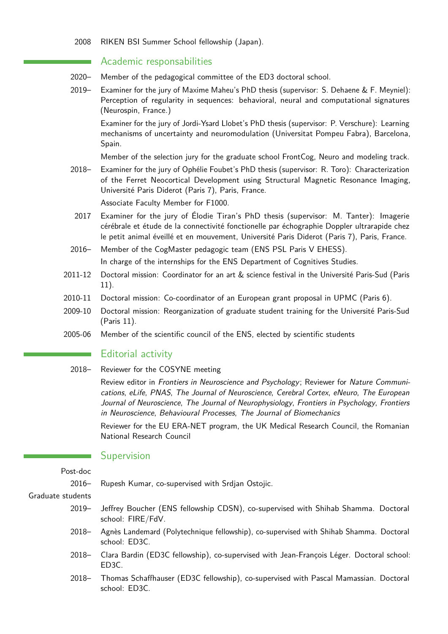#### 2008 RIKEN BSI Summer School fellowship (Japan).

## Academic responsabilities

- 2020– Member of the pedagogical committee of the ED3 doctoral school.
- 2019– Examiner for the jury of Maxime Maheu's PhD thesis (supervisor: S. Dehaene & F. Meyniel): Perception of regularity in sequences: behavioral, neural and computational signatures (Neurospin, France.)

Examiner for the jury of Jordi-Ysard Llobet's PhD thesis (supervisor: P. Verschure): Learning mechanisms of uncertainty and neuromodulation (Universitat Pompeu Fabra), Barcelona, Spain.

Member of the selection jury for the graduate school FrontCog, Neuro and modeling track.

2018– Examiner for the jury of Ophélie Foubet's PhD thesis (supervisor: R. Toro): Characterization of the Ferret Neocortical Development using Structural Magnetic Resonance Imaging, Université Paris Diderot (Paris 7), Paris, France.

Associate Faculty Member for F1000.

- 2017 Examiner for the jury of Élodie Tiran's PhD thesis (supervisor: M. Tanter): Imagerie cérébrale et étude de la connectivité fonctionelle par échographie Doppler ultrarapide chez le petit animal éveillé et en mouvement, Université Paris Diderot (Paris 7), Paris, France.
- 2016– Member of the CogMaster pedagogic team (ENS PSL Paris V EHESS). In charge of the internships for the ENS Department of Cognitives Studies.
- 2011-12 Doctoral mission: Coordinator for an art & science festival in the Université Paris-Sud (Paris 11).
- 2010-11 Doctoral mission: Co-coordinator of an European grant proposal in UPMC (Paris 6).
- 2009-10 Doctoral mission: Reorganization of graduate student training for the Université Paris-Sud (Paris 11).
- 2005-06 Member of the scientific council of the ENS, elected by scientific students

#### Editorial activity

2018– Reviewer for the COSYNE meeting

Review editor in Frontiers in Neuroscience and Psychology; Reviewer for Nature Communications, eLife, PNAS, The Journal of Neuroscience, Cerebral Cortex, eNeuro, The European Journal of Neuroscience, The Journal of Neurophysiology, Frontiers in Psychology, Frontiers in Neuroscience, Behavioural Processes, The Journal of Biomechanics

Reviewer for the EU ERA-NET program, the UK Medical Research Council, the Romanian National Research Council

#### Supervision

Post-doc

2016– Rupesh Kumar, co-supervised with Srdjan Ostojic.

#### Graduate students

- 2019– Jeffrey Boucher (ENS fellowship CDSN), co-supervised with Shihab Shamma. Doctoral school: FIRE/FdV.
- 2018– Agnès Landemard (Polytechnique fellowship), co-supervised with Shihab Shamma. Doctoral school: ED3C.
- 2018– Clara Bardin (ED3C fellowship), co-supervised with Jean-François Léger. Doctoral school: ED3C.
- 2018– Thomas Schaffhauser (ED3C fellowship), co-supervised with Pascal Mamassian. Doctoral school: ED3C.